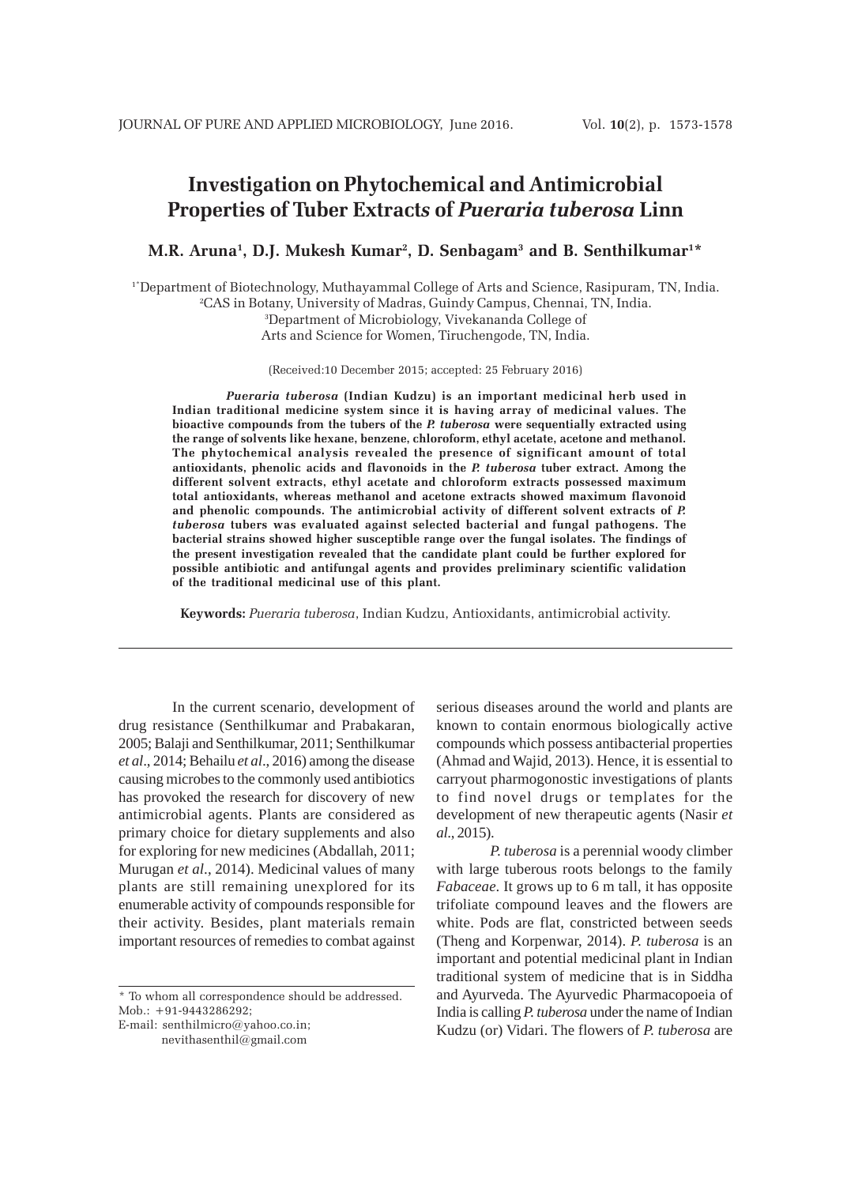# **Investigation on Phytochemical and Antimicrobial Properties of Tuber Extract***s* **of** *Pueraria tuberosa* **Linn**

**M.R. Aruna1 , D.J. Mukesh Kumar2 , D. Senbagam3 and B. Senthilkumar1 \***

1\*Department of Biotechnology, Muthayammal College of Arts and Science, Rasipuram, TN, India. 2 CAS in Botany, University of Madras, Guindy Campus, Chennai, TN, India.

3 Department of Microbiology, Vivekananda College of

Arts and Science for Women, Tiruchengode, TN, India.

(Received:10 December 2015; accepted: 25 February 2016)

*Pueraria tuberosa* **(Indian Kudzu) is an important medicinal herb used in Indian traditional medicine system since it is having array of medicinal values. The bioactive compounds from the tubers of the** *P. tuberosa* **were sequentially extracted using the range of solvents like hexane, benzene, chloroform, ethyl acetate, acetone and methanol. The phytochemical analysis revealed the presence of significant amount of total antioxidants, phenolic acids and flavonoids in the** *P. tuberosa* **tuber extract. Among the different solvent extracts, ethyl acetate and chloroform extracts possessed maximum total antioxidants, whereas methanol and acetone extracts showed maximum flavonoid** and phenolic compounds. The antimicrobial activity of different solvent extracts of *. tuberosa* **tubers was evaluated against selected bacterial and fungal pathogens. The bacterial strains showed higher susceptible range over the fungal isolates. The findings of the present investigation revealed that the candidate plant could be further explored for possible antibiotic and antifungal agents and provides preliminary scientific validation of the traditional medicinal use of this plant.**

**Keywords:** *Pueraria tuberosa*, Indian Kudzu, Antioxidants, antimicrobial activity.

In the current scenario, development of drug resistance (Senthilkumar and Prabakaran, 2005; Balaji and Senthilkumar, 2011; Senthilkumar *et al*., 2014; Behailu *et al*., 2016) among the disease causing microbes to the commonly used antibiotics has provoked the research for discovery of new antimicrobial agents. Plants are considered as primary choice for dietary supplements and also for exploring for new medicines (Abdallah, 2011; Murugan *et al*., 2014). Medicinal values of many plants are still remaining unexplored for its enumerable activity of compounds responsible for their activity. Besides, plant materials remain important resources of remedies to combat against

\* To whom all correspondence should be addressed. Mob.: +91-9443286292;

E-mail: senthilmicro@yahoo.co.in; nevithasenthil@gmail.com

serious diseases around the world and plants are known to contain enormous biologically active compounds which possess antibacterial properties (Ahmad and Wajid, 2013). Hence, it is essential to carryout pharmogonostic investigations of plants to find novel drugs or templates for the development of new therapeutic agents (Nasir *et al*., 2015).

*P. tuberosa* is a perennial woody climber with large tuberous roots belongs to the family *Fabaceae*. It grows up to 6 m tall, it has opposite trifoliate compound leaves and the flowers are white. Pods are flat, constricted between seeds (Theng and Korpenwar, 2014). *P. tuberosa* is an important and potential medicinal plant in Indian traditional system of medicine that is in Siddha and Ayurveda. The Ayurvedic Pharmacopoeia of India is calling *P. tuberosa* under the name of Indian Kudzu (or) Vidari. The flowers of *P. tuberosa* are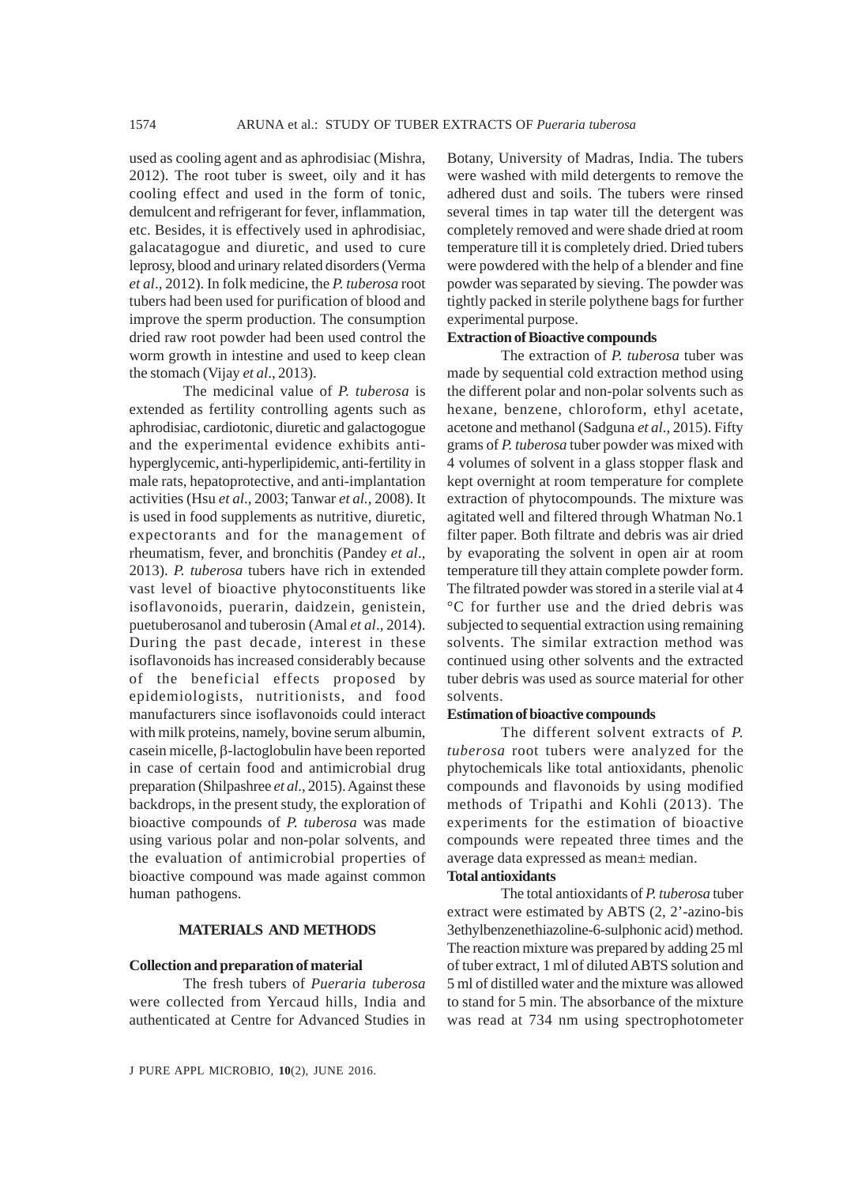used as cooling agent and as aphrodisiac (Mishra, 2012). The root tuber is sweet, oily and it has cooling effect and used in the form of tonic, demulcent and refrigerant for fever, inflammation, etc. Besides, it is effectively used in aphrodisiac, galacatagogue and diuretic, and used to cure leprosy, blood and urinary related disorders (Verma *et al*., 2012). In folk medicine, the *P. tuberosa* root tubers had been used for purification of blood and improve the sperm production. The consumption dried raw root powder had been used control the worm growth in intestine and used to keep clean the stomach (Vijay *et al*., 2013).

The medicinal value of *P. tuberosa* is extended as fertility controlling agents such as aphrodisiac, cardiotonic, diuretic and galactogogue and the experimental evidence exhibits antihyperglycemic, anti-hyperlipidemic, anti-fertility in male rats, hepatoprotective, and anti-implantation activities (Hsu *et al*., 2003; Tanwar *et al.*, 2008). It is used in food supplements as nutritive, diuretic, expectorants and for the management of rheumatism, fever, and bronchitis (Pandey *et al*., 2013). *P. tuberosa* tubers have rich in extended vast level of bioactive phytoconstituents like isoflavonoids, puerarin, daidzein, genistein, puetuberosanol and tuberosin (Amal *et al*., 2014). During the past decade, interest in these isoflavonoids has increased considerably because of the beneficial effects proposed by epidemiologists, nutritionists, and food manufacturers since isoflavonoids could interact with milk proteins, namely, bovine serum albumin, casein micelle, β-lactoglobulin have been reported in case of certain food and antimicrobial drug preparation (Shilpashree *et al*., 2015). Against these backdrops, in the present study, the exploration of bioactive compounds of *P. tuberosa* was made using various polar and non-polar solvents, and the evaluation of antimicrobial properties of bioactive compound was made against common human pathogens.

### **MATERIALS AND METHODS**

#### **Collection and preparation of material**

The fresh tubers of *Pueraria tuberosa* were collected from Yercaud hills, India and authenticated at Centre for Advanced Studies in

Botany, University of Madras, India. The tubers were washed with mild detergents to remove the adhered dust and soils. The tubers were rinsed several times in tap water till the detergent was completely removed and were shade dried at room temperature till it is completely dried. Dried tubers were powdered with the help of a blender and fine powder was separated by sieving. The powder was tightly packed in sterile polythene bags for further experimental purpose.

# **Extraction of Bioactive compounds**

The extraction of *P. tuberosa* tuber was made by sequential cold extraction method using the different polar and non-polar solvents such as hexane, benzene, chloroform, ethyl acetate, acetone and methanol (Sadguna *et al*., 2015). Fifty grams of *P. tuberosa* tuber powder was mixed with 4 volumes of solvent in a glass stopper flask and kept overnight at room temperature for complete extraction of phytocompounds. The mixture was agitated well and filtered through Whatman No.1 filter paper. Both filtrate and debris was air dried by evaporating the solvent in open air at room temperature till they attain complete powder form. The filtrated powder was stored in a sterile vial at 4 °C for further use and the dried debris was subjected to sequential extraction using remaining solvents. The similar extraction method was continued using other solvents and the extracted tuber debris was used as source material for other solvents.

#### **Estimation of bioactive compounds**

The different solvent extracts of *P. tuberosa* root tubers were analyzed for the phytochemicals like total antioxidants, phenolic compounds and flavonoids by using modified methods of Tripathi and Kohli (2013). The experiments for the estimation of bioactive compounds were repeated three times and the average data expressed as mean± median.

### **Total antioxidants**

The total antioxidants of *P. tuberosa* tuber extract were estimated by ABTS (2, 2'-azino-bis 3ethylbenzenethiazoline-6-sulphonic acid) method. The reaction mixture was prepared by adding 25 ml of tuber extract, 1 ml of diluted ABTS solution and 5 ml of distilled water and the mixture was allowed to stand for 5 min. The absorbance of the mixture was read at 734 nm using spectrophotometer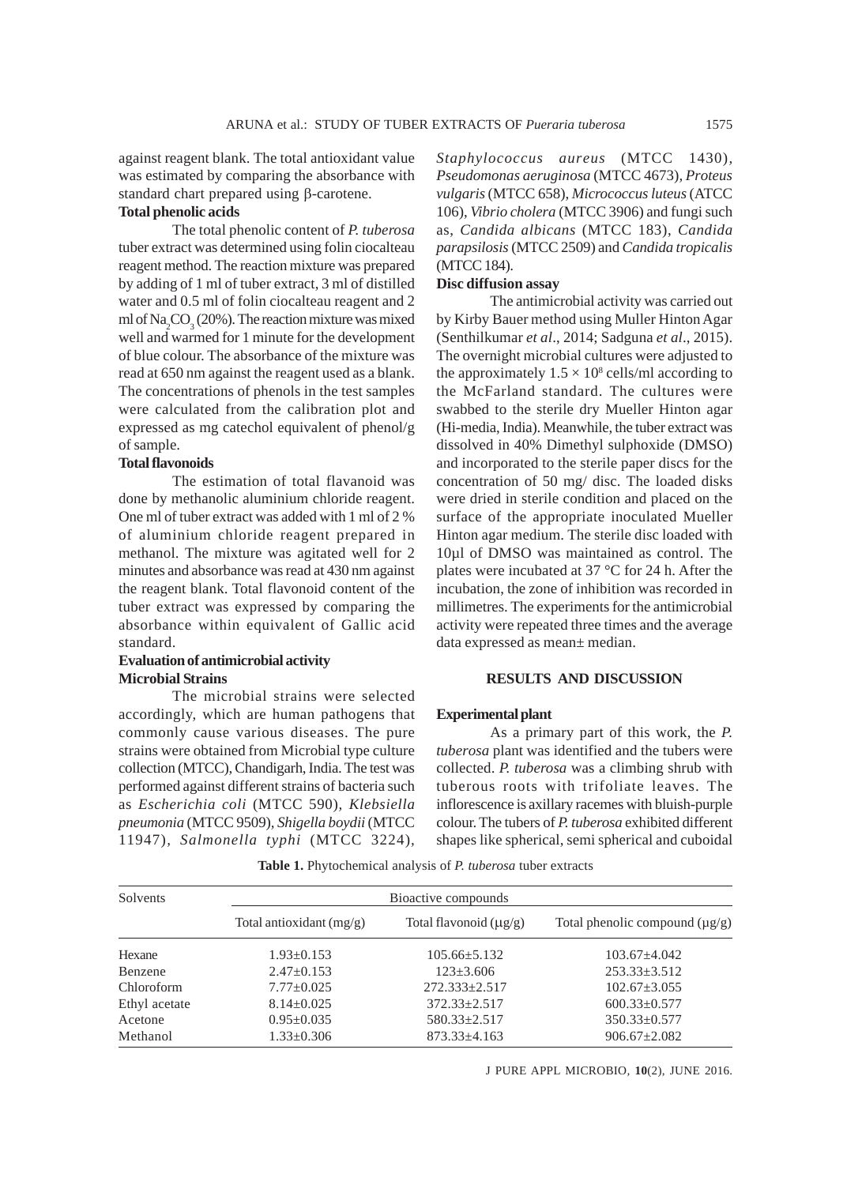against reagent blank. The total antioxidant value was estimated by comparing the absorbance with standard chart prepared using β-carotene.

# **Total phenolic acids**

The total phenolic content of *P. tuberosa* tuber extract was determined using folin ciocalteau reagent method. The reaction mixture was prepared by adding of 1 ml of tuber extract, 3 ml of distilled water and 0.5 ml of folin ciocalteau reagent and 2 ml of  $\text{Na}_2\text{CO}_3(20\%)$ . The reaction mixture was mixed well and warmed for 1 minute for the development of blue colour. The absorbance of the mixture was read at 650 nm against the reagent used as a blank. The concentrations of phenols in the test samples were calculated from the calibration plot and expressed as mg catechol equivalent of phenol/g of sample.

# **Total flavonoids**

The estimation of total flavanoid was done by methanolic aluminium chloride reagent. One ml of tuber extract was added with 1 ml of 2 % of aluminium chloride reagent prepared in methanol. The mixture was agitated well for 2 minutes and absorbance was read at 430 nm against the reagent blank. Total flavonoid content of the tuber extract was expressed by comparing the absorbance within equivalent of Gallic acid standard.

# **Evaluation of antimicrobial activity Microbial Strains**

The microbial strains were selected accordingly, which are human pathogens that commonly cause various diseases. The pure strains were obtained from Microbial type culture collection (MTCC), Chandigarh, India. The test was performed against different strains of bacteria such as *Escherichia coli* (MTCC 590)*, Klebsiella pneumonia* (MTCC 9509)*, Shigella boydii* (MTCC 11947)*, Salmonella typhi* (MTCC 3224)*,*

*Staphylococcus aureus* (MTCC 1430)*, Pseudomonas aeruginosa* (MTCC 4673)*, Proteus vulgaris* (MTCC 658), *Micrococcus luteus* (ATCC 106), *Vibrio cholera* (MTCC 3906) and fungi such as, *Candida albicans* (MTCC 183), *Candida parapsilosis* (MTCC 2509) and *Candida tropicalis* (MTCC 184).

# **Disc diffusion assay**

The antimicrobial activity was carried out by Kirby Bauer method using Muller Hinton Agar (Senthilkumar *et al*., 2014; Sadguna *et al*., 2015). The overnight microbial cultures were adjusted to the approximately  $1.5 \times 10^8$  cells/ml according to the McFarland standard. The cultures were swabbed to the sterile dry Mueller Hinton agar (Hi-media, India). Meanwhile, the tuber extract was dissolved in 40% Dimethyl sulphoxide (DMSO) and incorporated to the sterile paper discs for the concentration of 50 mg/ disc. The loaded disks were dried in sterile condition and placed on the surface of the appropriate inoculated Mueller Hinton agar medium. The sterile disc loaded with 10µl of DMSO was maintained as control. The plates were incubated at 37 °C for 24 h. After the incubation, the zone of inhibition was recorded in millimetres. The experiments for the antimicrobial activity were repeated three times and the average data expressed as mean± median.

### **RESULTS AND DISCUSSION**

#### **Experimental plant**

As a primary part of this work, the *P. tuberosa* plant was identified and the tubers were collected. *P. tuberosa* was a climbing shrub with tuberous roots with trifoliate leaves. The inflorescence is axillary racemes with bluish-purple colour. The tubers of *P. tuberosa* exhibited different shapes like spherical, semi spherical and cuboidal

| <b>Solvents</b> | Bioactive compounds        |                             |                                     |  |  |  |  |
|-----------------|----------------------------|-----------------------------|-------------------------------------|--|--|--|--|
|                 | Total antioxidant $(mg/g)$ | Total flavonoid $(\mu g/g)$ | Total phenolic compound $(\mu g/g)$ |  |  |  |  |
| Hexane          | $1.93 \pm 0.153$           | $105.66 \pm 5.132$          | $103.67 + 4.042$                    |  |  |  |  |
| Benzene         | $2.47 \pm 0.153$           | $123 \pm 3.606$             | $253.33 + 3.512$                    |  |  |  |  |
| Chloroform      | $7.77 \pm 0.025$           | $272.333 \pm 2.517$         | $102.67 \pm 3.055$                  |  |  |  |  |
| Ethyl acetate   | $8.14 \pm 0.025$           | $372.33 \pm 2.517$          | $600.33 \pm 0.577$                  |  |  |  |  |
| Acetone         | $0.95 \pm 0.035$           | $580.33 \pm 2.517$          | $350.33 \pm 0.577$                  |  |  |  |  |
| Methanol        | $1.33 \pm 0.306$           | $873.33 \pm 4.163$          | $906.67 \pm 2.082$                  |  |  |  |  |

**Table 1.** Phytochemical analysis of *P. tuberosa* tuber extracts

J PURE APPL MICROBIO*,* **10**(2), JUNE 2016.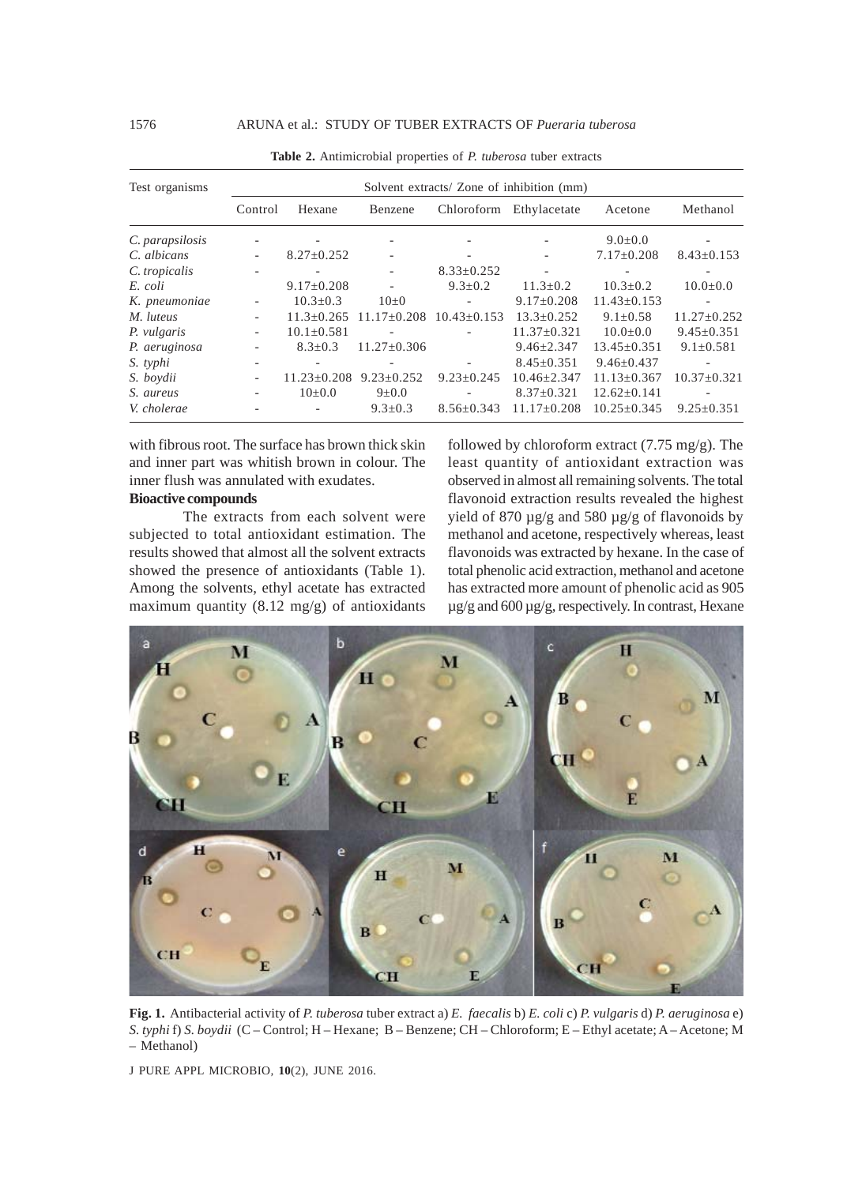| Test organisms  | Solvent extracts/ Zone of inhibition (mm) |                          |                   |                          |                   |                   |                   |  |
|-----------------|-------------------------------------------|--------------------------|-------------------|--------------------------|-------------------|-------------------|-------------------|--|
|                 | Control                                   | Hexane                   | Benzene           | Chloroform               | Ethylacetate      | Acetone           | Methanol          |  |
| C. parapsilosis |                                           | $\overline{\phantom{a}}$ |                   |                          |                   | $9.0 \pm 0.0$     |                   |  |
| C. albicans     | $\sim$                                    | $8.27 \pm 0.252$         |                   | $\overline{\phantom{a}}$ |                   | $7.17 \pm 0.208$  | $8.43 \pm 0.153$  |  |
| C. tropicalis   |                                           |                          |                   | $8.33 \pm 0.252$         |                   |                   |                   |  |
| E. coli         |                                           | $9.17 \pm 0.208$         |                   | $9.3 \pm 0.2$            | $11.3 \pm 0.2$    | $10.3 \pm 0.2$    | $10.0 \pm 0.0$    |  |
| K. pneumoniae   | $\overline{\phantom{a}}$                  | $10.3 \pm 0.3$           | $10\pm 0$         |                          | $9.17 \pm 0.208$  | $11.43 \pm 0.153$ |                   |  |
| M. luteus       | $\overline{\phantom{a}}$                  | $11.3 \pm 0.265$         | $11.17 \pm 0.208$ | $10.43 \pm 0.153$        | $13.3 \pm 0.252$  | $9.1 \pm 0.58$    | $11.27 \pm 0.252$ |  |
| P. vulgaris     | $\overline{\phantom{a}}$                  | $10.1 \pm 0.581$         |                   |                          | $11.37 \pm 0.321$ | $10.0 \pm 0.0$    | $9.45 \pm 0.351$  |  |
| P. aeruginosa   | $\overline{\phantom{a}}$                  | $8.3 + 0.3$              | $11.27 \pm 0.306$ |                          | $9.46 \pm 2.347$  | $13.45 \pm 0.351$ | $9.1 \pm 0.581$   |  |
| S. typhi        | $\overline{\phantom{a}}$                  |                          |                   |                          | $8.45 \pm 0.351$  | $9.46 \pm 0.437$  |                   |  |
| S. boydii       | $\overline{\phantom{a}}$                  | $11.23 \pm 0.208$        | $9.23 \pm 0.252$  | $9.23 \pm 0.245$         | $10.46 \pm 2.347$ | $11.13 \pm 0.367$ | $10.37 \pm 0.321$ |  |
| S. aureus       |                                           | $10+0.0$                 | $9 \pm 0.0$       |                          | $8.37 \pm 0.321$  | $12.62 \pm 0.141$ |                   |  |
| V. cholerae     |                                           |                          | $9.3 \pm 0.3$     | $8.56 \pm 0.343$         | $11.17 \pm 0.208$ | $10.25 \pm 0.345$ | $9.25 \pm 0.351$  |  |

**Table 2.** Antimicrobial properties of *P. tuberosa* tuber extracts

with fibrous root. The surface has brown thick skin and inner part was whitish brown in colour. The inner flush was annulated with exudates.

### **Bioactive compounds**

The extracts from each solvent were subjected to total antioxidant estimation. The results showed that almost all the solvent extracts showed the presence of antioxidants (Table 1). Among the solvents, ethyl acetate has extracted maximum quantity (8.12 mg/g) of antioxidants

followed by chloroform extract (7.75 mg/g). The least quantity of antioxidant extraction was observed in almost all remaining solvents. The total flavonoid extraction results revealed the highest yield of 870 µg/g and 580 µg/g of flavonoids by methanol and acetone, respectively whereas, least flavonoids was extracted by hexane. In the case of total phenolic acid extraction, methanol and acetone has extracted more amount of phenolic acid as 905 µg/g and 600 µg/g, respectively. In contrast, Hexane



**Fig. 1.** Antibacterial activity of *P. tuberosa* tuber extract a) *E. faecalis* b) *E. coli* c) *P. vulgaris* d) *P. aeruginosa* e) *S. typhi* f) *S. boydii* (C – Control; H – Hexane; B – Benzene; CH – Chloroform; E – Ethyl acetate; A – Acetone; M – Methanol)

J PURE APPL MICROBIO*,* **10**(2), JUNE 2016.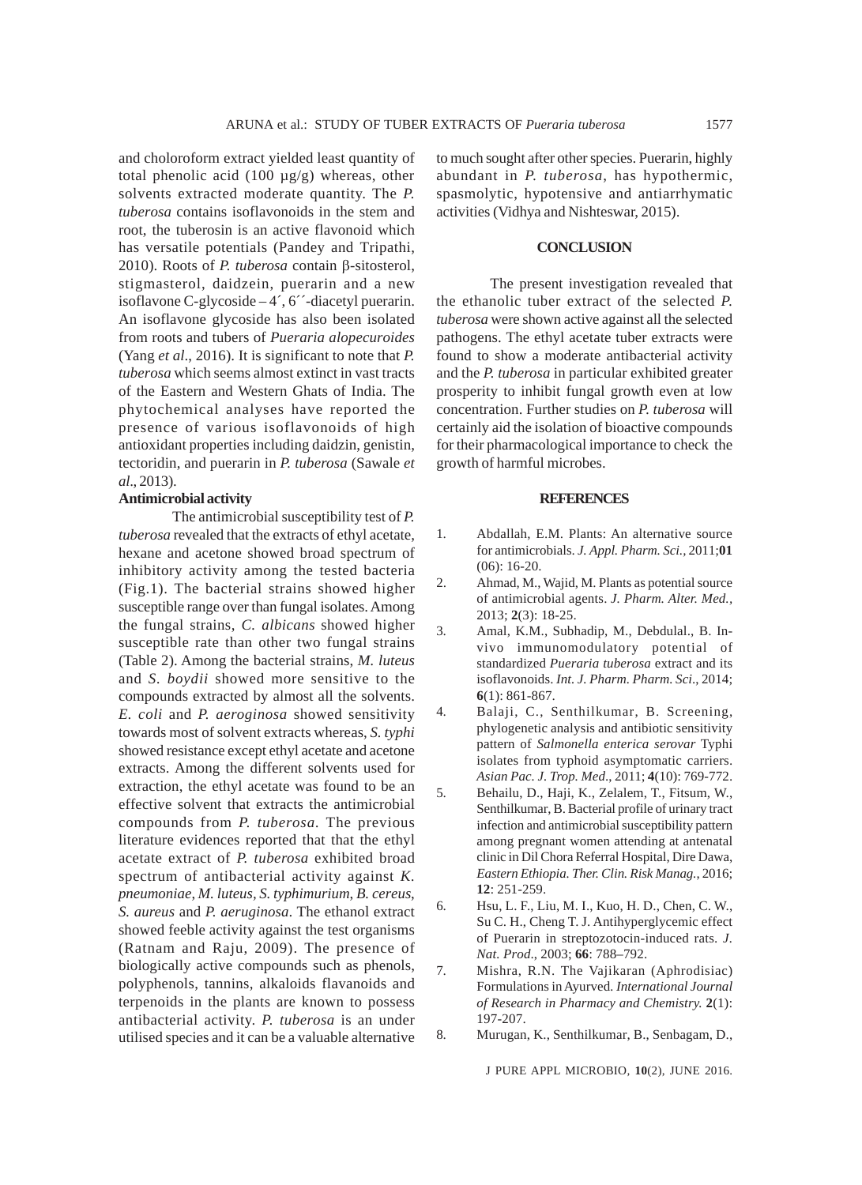and choloroform extract yielded least quantity of total phenolic acid (100 µg/g) whereas, other solvents extracted moderate quantity. The *P. tuberosa* contains isoflavonoids in the stem and root, the tuberosin is an active flavonoid which has versatile potentials (Pandey and Tripathi, 2010). Roots of *P. tuberosa* contain β-sitosterol, stigmasterol, daidzein, puerarin and a new isoflavone C-glycoside – 4´, 6´´-diacetyl puerarin. An isoflavone glycoside has also been isolated from roots and tubers of *Pueraria alopecuroides* (Yang *et al*., 2016). It is significant to note that *P. tuberosa* which seems almost extinct in vast tracts of the Eastern and Western Ghats of India. The phytochemical analyses have reported the presence of various isoflavonoids of high antioxidant properties including daidzin, genistin, tectoridin, and puerarin in *P. tuberosa* (Sawale *et al*., 2013).

#### **Antimicrobial activity**

The antimicrobial susceptibility test of *P. tuberosa* revealed that the extracts of ethyl acetate, hexane and acetone showed broad spectrum of inhibitory activity among the tested bacteria (Fig.1). The bacterial strains showed higher susceptible range over than fungal isolates. Among the fungal strains, *C. albicans* showed higher susceptible rate than other two fungal strains (Table 2). Among the bacterial strains, *M. luteus* and *S. boydii* showed more sensitive to the compounds extracted by almost all the solvents. *E. coli* and *P. aeroginosa* showed sensitivity towards most of solvent extracts whereas, *S. typhi* showed resistance except ethyl acetate and acetone extracts. Among the different solvents used for extraction, the ethyl acetate was found to be an effective solvent that extracts the antimicrobial compounds from *P. tuberosa.* The previous literature evidences reported that that the ethyl acetate extract of *P. tuberosa* exhibited broad spectrum of antibacterial activity against *K. pneumoniae*, *M. luteus, S. typhimurium*, *B. cereus*, *S. aureus* and *P. aeruginosa*. The ethanol extract showed feeble activity against the test organisms (Ratnam and Raju, 2009). The presence of biologically active compounds such as phenols, polyphenols, tannins, alkaloids flavanoids and terpenoids in the plants are known to possess antibacterial activity. *P. tuberosa* is an under utilised species and it can be a valuable alternative

to much sought after other species. Puerarin, highly abundant in *P. tuberosa*, has hypothermic, spasmolytic, hypotensive and antiarrhymatic activities (Vidhya and Nishteswar, 2015).

### **CONCLUSION**

The present investigation revealed that the ethanolic tuber extract of the selected *P. tuberosa* were shown active against all the selected pathogens. The ethyl acetate tuber extracts were found to show a moderate antibacterial activity and the *P. tuberosa* in particular exhibited greater prosperity to inhibit fungal growth even at low concentration. Further studies on *P. tuberosa* will certainly aid the isolation of bioactive compounds for their pharmacological importance to check the growth of harmful microbes.

#### **REFERENCES**

- 1. Abdallah, E.M. Plants: An alternative source for antimicrobials. *J. Appl. Pharm. Sci.,* 2011;**01** (06): 16-20.
- 2. Ahmad, M., Wajid, M. Plants as potential source of antimicrobial agents. *J. Pharm. Alter. Med.,* 2013; **2**(3): 18-25.
- 3. Amal, K.M., Subhadip, M., Debdulal., B. Invivo immunomodulatory potential of standardized *Pueraria tuberosa* extract and its isoflavonoids. *Int. J. Pharm. Pharm. Sci*., 2014; **6**(1): 861-867.
- 4. Balaji, C., Senthilkumar, B. Screening, phylogenetic analysis and antibiotic sensitivity pattern of *Salmonella enterica serovar* Typhi isolates from typhoid asymptomatic carriers. *Asian Pac. J. Trop. Med*., 2011; **4**(10): 769-772.
- 5. Behailu, D., Haji, K., Zelalem, T., Fitsum, W., Senthilkumar, B. Bacterial profile of urinary tract infection and antimicrobial susceptibility pattern among pregnant women attending at antenatal clinic in Dil Chora Referral Hospital, Dire Dawa, *Eastern Ethiopia. Ther. Clin. Risk Manag.*, 2016; **12**: 251-259.
- 6. Hsu, L. F., Liu, M. I., Kuo, H. D., Chen, C. W., Su C. H., Cheng T. J. Antihyperglycemic effect of Puerarin in streptozotocin-induced rats. *J. Nat. Prod*., 2003; **66**: 788–792.
- 7. Mishra, R.N. The Vajikaran (Aphrodisiac) Formulations in Ayurved*. International Journal of Research in Pharmacy and Chemistry.* **2**(1): 197-207.
- 8. Murugan, K., Senthilkumar, B., Senbagam, D.,

J PURE APPL MICROBIO*,* **10**(2), JUNE 2016.